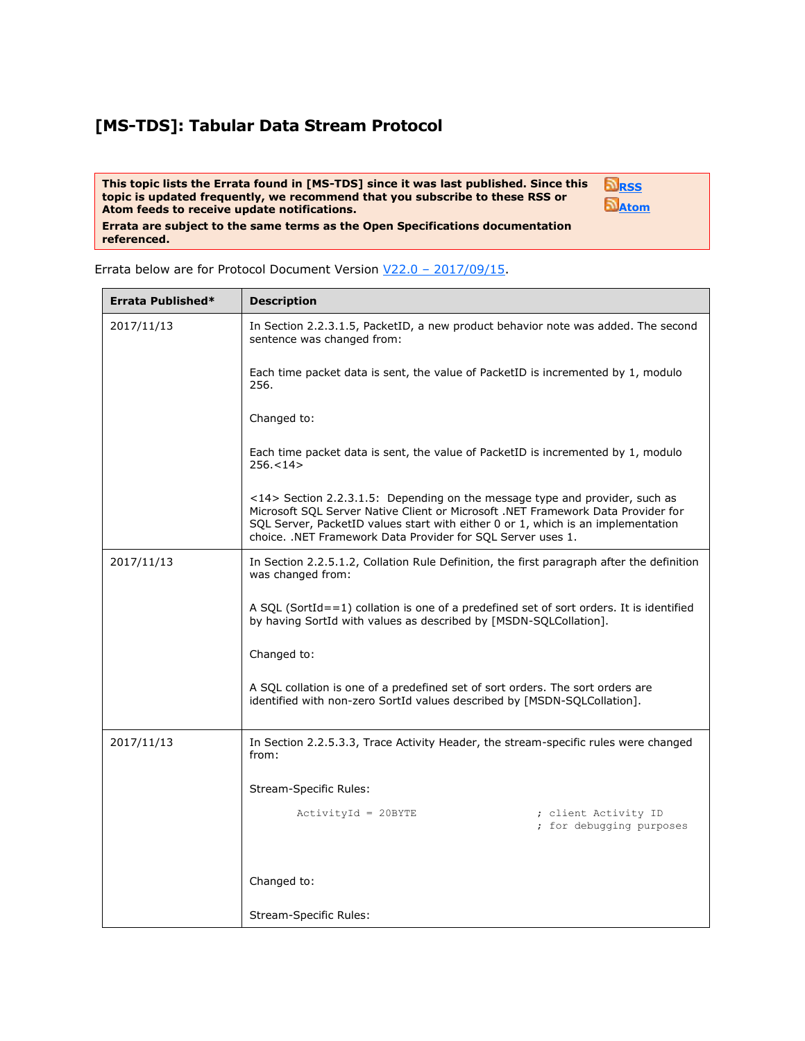## **[MS-TDS]: Tabular Data Stream Protocol**

**This topic lists the Errata found in [MS-TDS] since it was last published. Since this topic is updated frequently, we recommend that you subscribe to these RSS or Atom feeds to receive update notifications.**



**Errata are subject to the same terms as the Open Specifications documentation referenced.**

Errata below are for Protocol Document Version V22.0 – [2017/09/15.](http://go.microsoft.com/fwlink/?LinkID=511321)

| Errata Published* | <b>Description</b>                                                                                                                                                                                                                                                                                                                 |
|-------------------|------------------------------------------------------------------------------------------------------------------------------------------------------------------------------------------------------------------------------------------------------------------------------------------------------------------------------------|
| 2017/11/13        | In Section 2.2.3.1.5, PacketID, a new product behavior note was added. The second<br>sentence was changed from:                                                                                                                                                                                                                    |
|                   | Each time packet data is sent, the value of PacketID is incremented by 1, modulo<br>256.                                                                                                                                                                                                                                           |
|                   | Changed to:                                                                                                                                                                                                                                                                                                                        |
|                   | Each time packet data is sent, the value of PacketID is incremented by 1, modulo<br>256.<14>                                                                                                                                                                                                                                       |
|                   | $\langle 14 \rangle$ Section 2.2.3.1.5: Depending on the message type and provider, such as<br>Microsoft SQL Server Native Client or Microsoft .NET Framework Data Provider for<br>SQL Server, PacketID values start with either 0 or 1, which is an implementation<br>choice. .NET Framework Data Provider for SQL Server uses 1. |
| 2017/11/13        | In Section 2.2.5.1.2, Collation Rule Definition, the first paragraph after the definition<br>was changed from:                                                                                                                                                                                                                     |
|                   | A SQL (SortId==1) collation is one of a predefined set of sort orders. It is identified<br>by having SortId with values as described by [MSDN-SQLCollation].                                                                                                                                                                       |
|                   | Changed to:                                                                                                                                                                                                                                                                                                                        |
|                   | A SQL collation is one of a predefined set of sort orders. The sort orders are<br>identified with non-zero SortId values described by [MSDN-SQLCollation].                                                                                                                                                                         |
| 2017/11/13        | In Section 2.2.5.3.3, Trace Activity Header, the stream-specific rules were changed<br>from:                                                                                                                                                                                                                                       |
|                   | Stream-Specific Rules:                                                                                                                                                                                                                                                                                                             |
|                   | $ActivityId = 20BYTE$<br>; client Activity ID<br>; for debugging purposes                                                                                                                                                                                                                                                          |
|                   | Changed to:                                                                                                                                                                                                                                                                                                                        |
|                   | Stream-Specific Rules:                                                                                                                                                                                                                                                                                                             |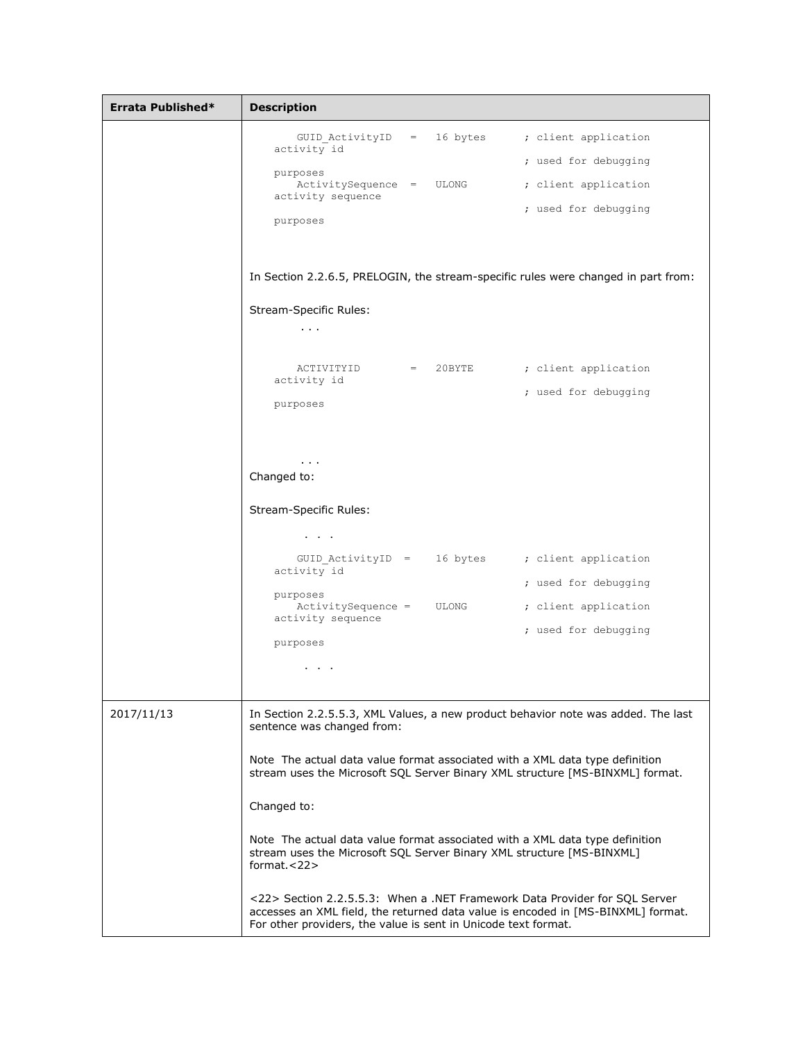| Errata Published* | <b>Description</b>                                                                                                                                                                                                                                                               |
|-------------------|----------------------------------------------------------------------------------------------------------------------------------------------------------------------------------------------------------------------------------------------------------------------------------|
|                   | GUID_ActivityID = 16 bytes ; client application<br>activity id<br>; used for debugging<br>purposes<br>ActivitySequence = ULONG ; client application<br>activity sequence<br>; used for debugging<br>purposes                                                                     |
|                   | In Section 2.2.6.5, PRELOGIN, the stream-specific rules were changed in part from:                                                                                                                                                                                               |
|                   | <b>Stream-Specific Rules:</b><br>$\mathbf{r}=\mathbf{r}+\mathbf{r}$<br>ACTIVITYID = 20BYTE ; client application<br>activity id<br>; used for debugging<br>purposes                                                                                                               |
|                   | $\sim 100$<br>Changed to:<br><b>Stream-Specific Rules:</b><br>$\bullet$ , $\bullet$ , $\bullet$ , $\bullet$                                                                                                                                                                      |
|                   | GUID ActivityID = 16 bytes ; client application<br>activity id<br>; used for debugging                                                                                                                                                                                           |
|                   | purposes<br>ActivitySequence = ULONG ; client application<br>activity sequence<br>; used for debugging<br>purposes<br>$\sim$ $\sim$ $\sim$ $\sim$                                                                                                                                |
| 2017/11/13        | In Section 2.2.5.5.3, XML Values, a new product behavior note was added. The last<br>sentence was changed from:<br>Note The actual data value format associated with a XML data type definition<br>stream uses the Microsoft SQL Server Binary XML structure [MS-BINXML] format. |
|                   | Changed to:<br>Note The actual data value format associated with a XML data type definition<br>stream uses the Microsoft SQL Server Binary XML structure [MS-BINXML]<br>format. $<$ 22><br><22> Section 2.2.5.5.3: When a .NET Framework Data Provider for SQL Server            |
|                   | accesses an XML field, the returned data value is encoded in [MS-BINXML] format.<br>For other providers, the value is sent in Unicode text format.                                                                                                                               |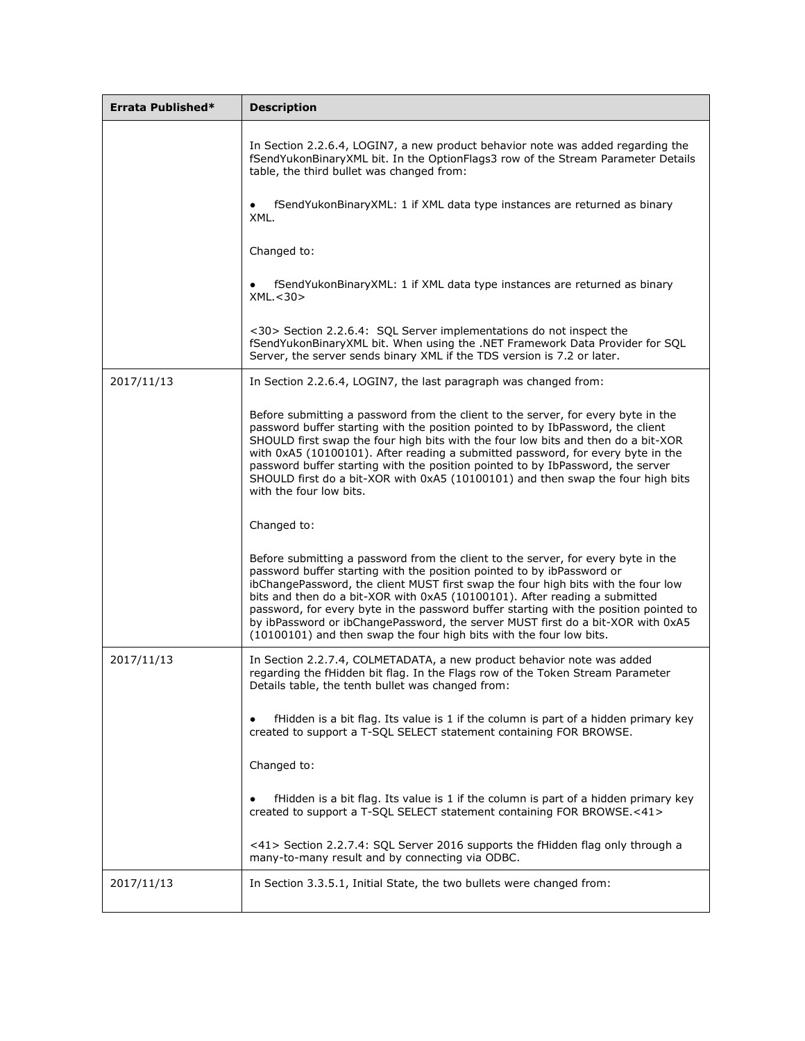| Errata Published* | <b>Description</b>                                                                                                                                                                                                                                                                                                                                                                                                                                                                                                                                                                |
|-------------------|-----------------------------------------------------------------------------------------------------------------------------------------------------------------------------------------------------------------------------------------------------------------------------------------------------------------------------------------------------------------------------------------------------------------------------------------------------------------------------------------------------------------------------------------------------------------------------------|
|                   | In Section 2.2.6.4, LOGIN7, a new product behavior note was added regarding the<br>fSendYukonBinaryXML bit. In the OptionFlags3 row of the Stream Parameter Details<br>table, the third bullet was changed from:                                                                                                                                                                                                                                                                                                                                                                  |
|                   | fSendYukonBinaryXML: 1 if XML data type instances are returned as binary<br>XML.                                                                                                                                                                                                                                                                                                                                                                                                                                                                                                  |
|                   | Changed to:                                                                                                                                                                                                                                                                                                                                                                                                                                                                                                                                                                       |
|                   | fSendYukonBinaryXML: 1 if XML data type instances are returned as binary<br>$\bullet$<br>XML. < 30                                                                                                                                                                                                                                                                                                                                                                                                                                                                                |
|                   | <30> Section 2.2.6.4: SQL Server implementations do not inspect the<br>fSendYukonBinaryXML bit. When using the .NET Framework Data Provider for SQL<br>Server, the server sends binary XML if the TDS version is 7.2 or later.                                                                                                                                                                                                                                                                                                                                                    |
| 2017/11/13        | In Section 2.2.6.4, LOGIN7, the last paragraph was changed from:                                                                                                                                                                                                                                                                                                                                                                                                                                                                                                                  |
|                   | Before submitting a password from the client to the server, for every byte in the<br>password buffer starting with the position pointed to by IbPassword, the client<br>SHOULD first swap the four high bits with the four low bits and then do a bit-XOR<br>with 0xA5 (10100101). After reading a submitted password, for every byte in the<br>password buffer starting with the position pointed to by IbPassword, the server<br>SHOULD first do a bit-XOR with 0xA5 (10100101) and then swap the four high bits<br>with the four low bits.                                     |
|                   | Changed to:                                                                                                                                                                                                                                                                                                                                                                                                                                                                                                                                                                       |
|                   | Before submitting a password from the client to the server, for every byte in the<br>password buffer starting with the position pointed to by ibPassword or<br>ibChangePassword, the client MUST first swap the four high bits with the four low<br>bits and then do a bit-XOR with 0xA5 (10100101). After reading a submitted<br>password, for every byte in the password buffer starting with the position pointed to<br>by ibPassword or ibChangePassword, the server MUST first do a bit-XOR with 0xA5<br>(10100101) and then swap the four high bits with the four low bits. |
| 2017/11/13        | In Section 2.2.7.4, COLMETADATA, a new product behavior note was added<br>regarding the fHidden bit flag. In the Flags row of the Token Stream Parameter<br>Details table, the tenth bullet was changed from:                                                                                                                                                                                                                                                                                                                                                                     |
|                   | fHidden is a bit flag. Its value is 1 if the column is part of a hidden primary key<br>$\bullet$<br>created to support a T-SQL SELECT statement containing FOR BROWSE.                                                                                                                                                                                                                                                                                                                                                                                                            |
|                   | Changed to:                                                                                                                                                                                                                                                                                                                                                                                                                                                                                                                                                                       |
|                   | fHidden is a bit flag. Its value is 1 if the column is part of a hidden primary key<br>$\bullet$<br>created to support a T-SQL SELECT statement containing FOR BROWSE.<41>                                                                                                                                                                                                                                                                                                                                                                                                        |
|                   | <41> Section 2.2.7.4: SQL Server 2016 supports the fHidden flag only through a<br>many-to-many result and by connecting via ODBC.                                                                                                                                                                                                                                                                                                                                                                                                                                                 |
| 2017/11/13        | In Section 3.3.5.1, Initial State, the two bullets were changed from:                                                                                                                                                                                                                                                                                                                                                                                                                                                                                                             |